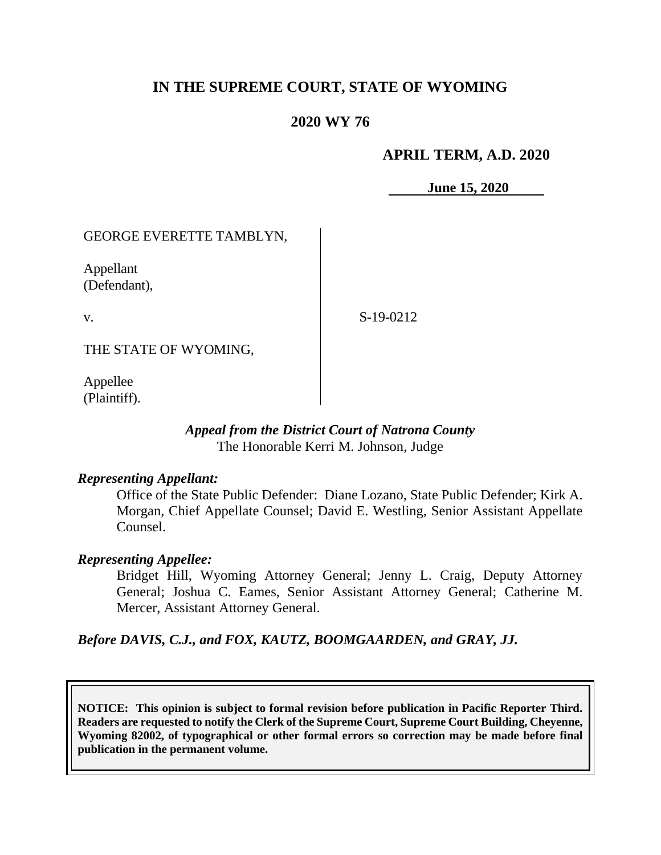# **IN THE SUPREME COURT, STATE OF WYOMING**

## **2020 WY 76**

## **APRIL TERM, A.D. 2020**

**June 15, 2020**

## GEORGE EVERETTE TAMBLYN,

Appellant (Defendant),

v.

S-19-0212

THE STATE OF WYOMING,

Appellee (Plaintiff).

### *Appeal from the District Court of Natrona County* The Honorable Kerri M. Johnson, Judge

### *Representing Appellant:*

Office of the State Public Defender: Diane Lozano, State Public Defender; Kirk A. Morgan, Chief Appellate Counsel; David E. Westling, Senior Assistant Appellate Counsel.

### *Representing Appellee:*

Bridget Hill, Wyoming Attorney General; Jenny L. Craig, Deputy Attorney General; Joshua C. Eames, Senior Assistant Attorney General; Catherine M. Mercer, Assistant Attorney General.

*Before DAVIS, C.J., and FOX, KAUTZ, BOOMGAARDEN, and GRAY, JJ.*

**NOTICE: This opinion is subject to formal revision before publication in Pacific Reporter Third. Readers are requested to notify the Clerk of the Supreme Court, Supreme Court Building, Cheyenne, Wyoming 82002, of typographical or other formal errors so correction may be made before final publication in the permanent volume.**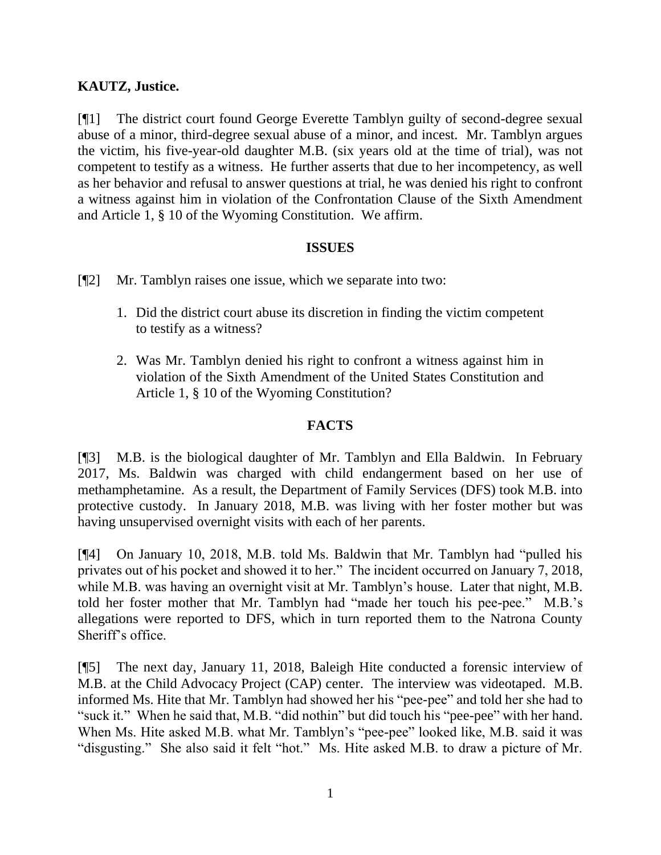## **KAUTZ, Justice.**

[¶1] The district court found George Everette Tamblyn guilty of second-degree sexual abuse of a minor, third-degree sexual abuse of a minor, and incest. Mr. Tamblyn argues the victim, his five-year-old daughter M.B. (six years old at the time of trial), was not competent to testify as a witness. He further asserts that due to her incompetency, as well as her behavior and refusal to answer questions at trial, he was denied his right to confront a witness against him in violation of the Confrontation Clause of the Sixth Amendment and Article 1, § 10 of the Wyoming Constitution. We affirm.

## **ISSUES**

[¶2] Mr. Tamblyn raises one issue, which we separate into two:

- 1. Did the district court abuse its discretion in finding the victim competent to testify as a witness?
- 2. Was Mr. Tamblyn denied his right to confront a witness against him in violation of the Sixth Amendment of the United States Constitution and Article 1, § 10 of the Wyoming Constitution?

## **FACTS**

[¶3] M.B. is the biological daughter of Mr. Tamblyn and Ella Baldwin. In February 2017, Ms. Baldwin was charged with child endangerment based on her use of methamphetamine. As a result, the Department of Family Services (DFS) took M.B. into protective custody. In January 2018, M.B. was living with her foster mother but was having unsupervised overnight visits with each of her parents.

[¶4] On January 10, 2018, M.B. told Ms. Baldwin that Mr. Tamblyn had "pulled his privates out of his pocket and showed it to her." The incident occurred on January 7, 2018, while M.B. was having an overnight visit at Mr. Tamblyn's house. Later that night, M.B. told her foster mother that Mr. Tamblyn had "made her touch his pee-pee." M.B.'s allegations were reported to DFS, which in turn reported them to the Natrona County Sheriff's office.

[¶5] The next day, January 11, 2018, Baleigh Hite conducted a forensic interview of M.B. at the Child Advocacy Project (CAP) center. The interview was videotaped. M.B. informed Ms. Hite that Mr. Tamblyn had showed her his "pee-pee" and told her she had to "suck it." When he said that, M.B. "did nothin" but did touch his "pee-pee" with her hand. When Ms. Hite asked M.B. what Mr. Tamblyn's "pee-pee" looked like, M.B. said it was "disgusting." She also said it felt "hot." Ms. Hite asked M.B. to draw a picture of Mr.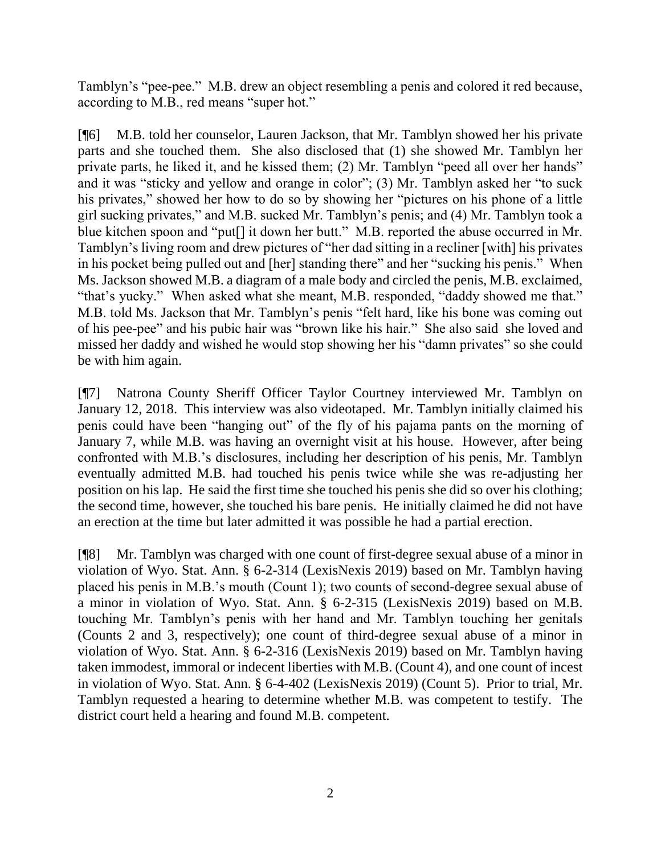Tamblyn's "pee-pee." M.B. drew an object resembling a penis and colored it red because, according to M.B., red means "super hot."

[¶6] M.B. told her counselor, Lauren Jackson, that Mr. Tamblyn showed her his private parts and she touched them. She also disclosed that (1) she showed Mr. Tamblyn her private parts, he liked it, and he kissed them; (2) Mr. Tamblyn "peed all over her hands" and it was "sticky and yellow and orange in color"; (3) Mr. Tamblyn asked her "to suck his privates," showed her how to do so by showing her "pictures on his phone of a little girl sucking privates," and M.B. sucked Mr. Tamblyn's penis; and (4) Mr. Tamblyn took a blue kitchen spoon and "put[] it down her butt." M.B. reported the abuse occurred in Mr. Tamblyn's living room and drew pictures of "her dad sitting in a recliner [with] his privates in his pocket being pulled out and [her] standing there" and her "sucking his penis." When Ms. Jackson showed M.B. a diagram of a male body and circled the penis, M.B. exclaimed, "that's yucky." When asked what she meant, M.B. responded, "daddy showed me that." M.B. told Ms. Jackson that Mr. Tamblyn's penis "felt hard, like his bone was coming out of his pee-pee" and his pubic hair was "brown like his hair." She also said she loved and missed her daddy and wished he would stop showing her his "damn privates" so she could be with him again.

[¶7] Natrona County Sheriff Officer Taylor Courtney interviewed Mr. Tamblyn on January 12, 2018. This interview was also videotaped. Mr. Tamblyn initially claimed his penis could have been "hanging out" of the fly of his pajama pants on the morning of January 7, while M.B. was having an overnight visit at his house. However, after being confronted with M.B.'s disclosures, including her description of his penis, Mr. Tamblyn eventually admitted M.B. had touched his penis twice while she was re-adjusting her position on his lap. He said the first time she touched his penis she did so over his clothing; the second time, however, she touched his bare penis. He initially claimed he did not have an erection at the time but later admitted it was possible he had a partial erection.

[¶8] Mr. Tamblyn was charged with one count of first-degree sexual abuse of a minor in violation of Wyo. Stat. Ann. § 6-2-314 (LexisNexis 2019) based on Mr. Tamblyn having placed his penis in M.B.'s mouth (Count 1); two counts of second-degree sexual abuse of a minor in violation of Wyo. Stat. Ann. § 6-2-315 (LexisNexis 2019) based on M.B. touching Mr. Tamblyn's penis with her hand and Mr. Tamblyn touching her genitals (Counts 2 and 3, respectively); one count of third-degree sexual abuse of a minor in violation of Wyo. Stat. Ann. § 6-2-316 (LexisNexis 2019) based on Mr. Tamblyn having taken immodest, immoral or indecent liberties with M.B. (Count 4), and one count of incest in violation of Wyo. Stat. Ann. § 6-4-402 (LexisNexis 2019) (Count 5). Prior to trial, Mr. Tamblyn requested a hearing to determine whether M.B. was competent to testify. The district court held a hearing and found M.B. competent.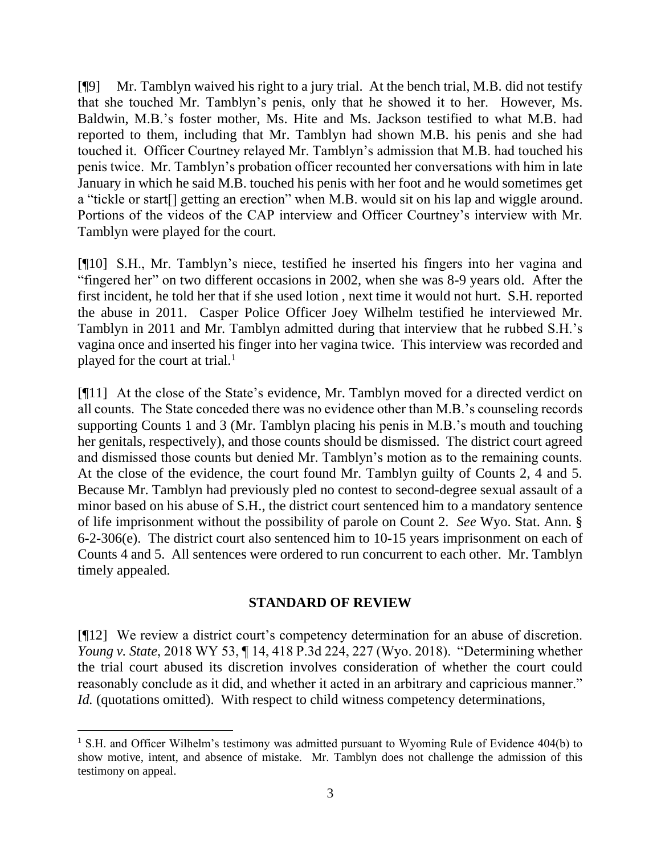[¶9] Mr. Tamblyn waived his right to a jury trial. At the bench trial, M.B. did not testify that she touched Mr. Tamblyn's penis, only that he showed it to her. However, Ms. Baldwin, M.B.'s foster mother, Ms. Hite and Ms. Jackson testified to what M.B. had reported to them, including that Mr. Tamblyn had shown M.B. his penis and she had touched it. Officer Courtney relayed Mr. Tamblyn's admission that M.B. had touched his penis twice. Mr. Tamblyn's probation officer recounted her conversations with him in late January in which he said M.B. touched his penis with her foot and he would sometimes get a "tickle or start[] getting an erection" when M.B. would sit on his lap and wiggle around. Portions of the videos of the CAP interview and Officer Courtney's interview with Mr. Tamblyn were played for the court.

[¶10] S.H., Mr. Tamblyn's niece, testified he inserted his fingers into her vagina and "fingered her" on two different occasions in 2002, when she was 8-9 years old. After the first incident, he told her that if she used lotion , next time it would not hurt. S.H. reported the abuse in 2011. Casper Police Officer Joey Wilhelm testified he interviewed Mr. Tamblyn in 2011 and Mr. Tamblyn admitted during that interview that he rubbed S.H.'s vagina once and inserted his finger into her vagina twice. This interview was recorded and played for the court at trial. $<sup>1</sup>$ </sup>

[¶11] At the close of the State's evidence, Mr. Tamblyn moved for a directed verdict on all counts. The State conceded there was no evidence other than M.B.'s counseling records supporting Counts 1 and 3 (Mr. Tamblyn placing his penis in M.B.'s mouth and touching her genitals, respectively), and those counts should be dismissed. The district court agreed and dismissed those counts but denied Mr. Tamblyn's motion as to the remaining counts. At the close of the evidence, the court found Mr. Tamblyn guilty of Counts 2, 4 and 5. Because Mr. Tamblyn had previously pled no contest to second-degree sexual assault of a minor based on his abuse of S.H., the district court sentenced him to a mandatory sentence of life imprisonment without the possibility of parole on Count 2. *See* Wyo. Stat. Ann. § 6-2-306(e). The district court also sentenced him to 10-15 years imprisonment on each of Counts 4 and 5. All sentences were ordered to run concurrent to each other. Mr. Tamblyn timely appealed.

### **STANDARD OF REVIEW**

[¶12] We review a district court's competency determination for an abuse of discretion. *Young v. State*, 2018 WY 53, ¶ 14, 418 P.3d 224, 227 (Wyo. 2018). "Determining whether the trial court abused its discretion involves consideration of whether the court could reasonably conclude as it did, and whether it acted in an arbitrary and capricious manner." *Id.* (quotations omitted). With respect to child witness competency determinations,

<sup>&</sup>lt;sup>1</sup> S.H. and Officer Wilhelm's testimony was admitted pursuant to Wyoming Rule of Evidence 404(b) to show motive, intent, and absence of mistake. Mr. Tamblyn does not challenge the admission of this testimony on appeal.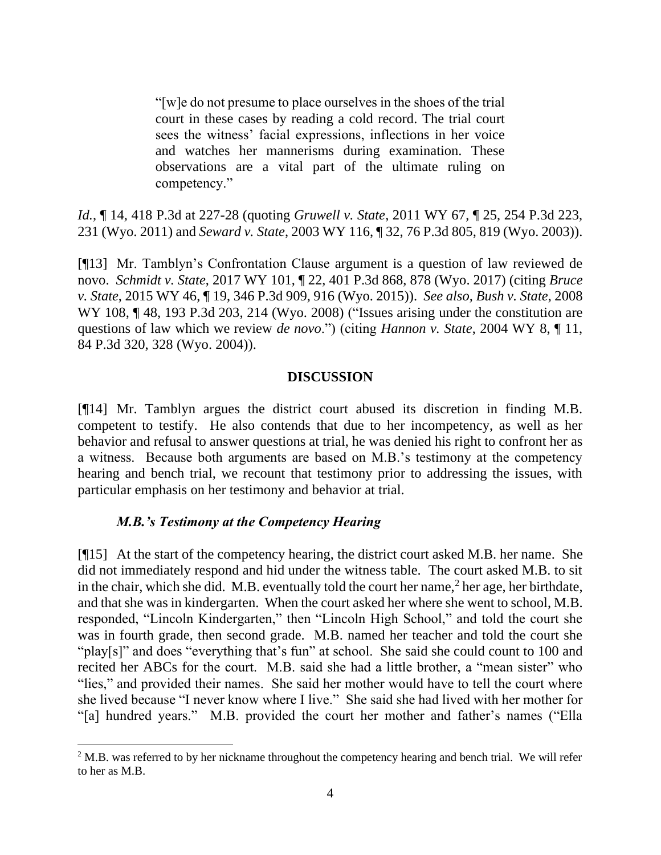"[w]e do not presume to place ourselves in the shoes of the trial court in these cases by reading a cold record. The trial court sees the witness' facial expressions, inflections in her voice and watches her mannerisms during examination. These observations are a vital part of the ultimate ruling on competency."

*Id.*, ¶ 14, 418 P.3d at 227-28 (quoting *Gruwell v. State*, 2011 WY 67, ¶ 25, 254 P.3d 223, 231 (Wyo. 2011) and *Seward v. State*, 2003 WY 116, ¶ 32, 76 P.3d 805, 819 (Wyo. 2003)).

[¶13] Mr. Tamblyn's Confrontation Clause argument is a question of law reviewed de novo. *Schmidt v. State*, 2017 WY 101, ¶ 22, 401 P.3d 868, 878 (Wyo. 2017) (citing *Bruce v. State*, 2015 WY 46, ¶ 19, 346 P.3d 909, 916 (Wyo. 2015)). *See also, Bush v. State*, 2008 WY 108,  $\P$  48, 193 P.3d 203, 214 (Wyo. 2008) ("Issues arising under the constitution are questions of law which we review *de novo*.") (citing *Hannon v. State*, 2004 WY 8, ¶ 11, 84 P.3d 320, 328 (Wyo. 2004)).

### **DISCUSSION**

[¶14] Mr. Tamblyn argues the district court abused its discretion in finding M.B. competent to testify. He also contends that due to her incompetency, as well as her behavior and refusal to answer questions at trial, he was denied his right to confront her as a witness. Because both arguments are based on M.B.'s testimony at the competency hearing and bench trial, we recount that testimony prior to addressing the issues, with particular emphasis on her testimony and behavior at trial.

### *M.B.'s Testimony at the Competency Hearing*

[¶15] At the start of the competency hearing, the district court asked M.B. her name. She did not immediately respond and hid under the witness table. The court asked M.B. to sit in the chair, which she did. M.B. eventually told the court her name,  $2$  her age, her birthdate, and that she was in kindergarten. When the court asked her where she went to school, M.B. responded, "Lincoln Kindergarten," then "Lincoln High School," and told the court she was in fourth grade, then second grade. M.B. named her teacher and told the court she "play[s]" and does "everything that's fun" at school. She said she could count to 100 and recited her ABCs for the court. M.B. said she had a little brother, a "mean sister" who "lies," and provided their names. She said her mother would have to tell the court where she lived because "I never know where I live." She said she had lived with her mother for "[a] hundred years." M.B. provided the court her mother and father's names ("Ella

<sup>&</sup>lt;sup>2</sup> M.B. was referred to by her nickname throughout the competency hearing and bench trial. We will refer to her as M.B.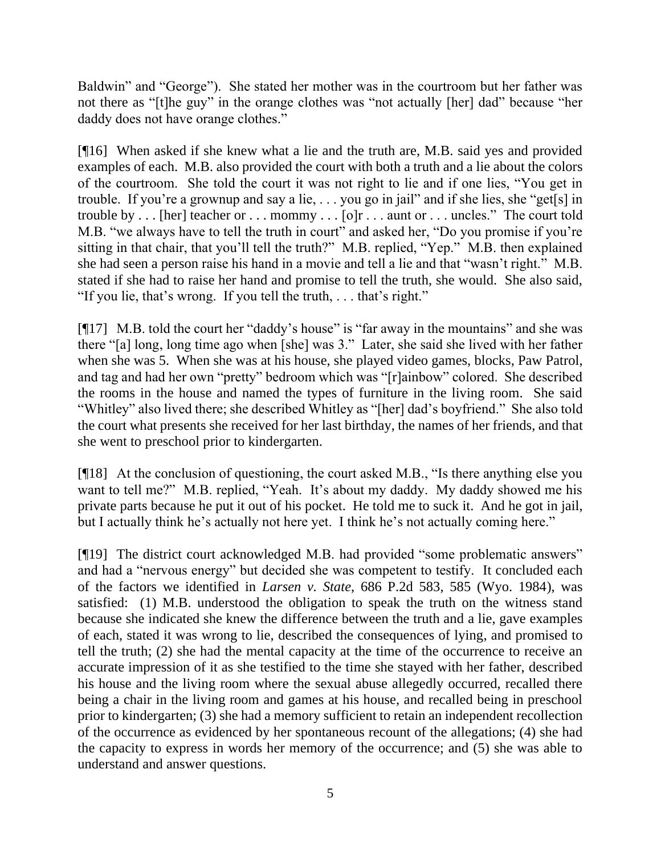Baldwin" and "George"). She stated her mother was in the courtroom but her father was not there as "[t]he guy" in the orange clothes was "not actually [her] dad" because "her daddy does not have orange clothes."

[¶16] When asked if she knew what a lie and the truth are, M.B. said yes and provided examples of each. M.B. also provided the court with both a truth and a lie about the colors of the courtroom. She told the court it was not right to lie and if one lies, "You get in trouble. If you're a grownup and say a lie, . . . you go in jail" and if she lies, she "get[s] in trouble by . . . [her] teacher or . . . mommy . . . [o]r . . . aunt or . . . uncles." The court told M.B. "we always have to tell the truth in court" and asked her, "Do you promise if you're sitting in that chair, that you'll tell the truth?" M.B. replied, "Yep." M.B. then explained she had seen a person raise his hand in a movie and tell a lie and that "wasn't right." M.B. stated if she had to raise her hand and promise to tell the truth, she would. She also said, "If you lie, that's wrong. If you tell the truth, . . . that's right."

[¶17] M.B. told the court her "daddy's house" is "far away in the mountains" and she was there "[a] long, long time ago when [she] was 3." Later, she said she lived with her father when she was 5. When she was at his house, she played video games, blocks, Paw Patrol, and tag and had her own "pretty" bedroom which was "[r]ainbow" colored. She described the rooms in the house and named the types of furniture in the living room. She said "Whitley" also lived there; she described Whitley as "[her] dad's boyfriend." She also told the court what presents she received for her last birthday, the names of her friends, and that she went to preschool prior to kindergarten.

[¶18] At the conclusion of questioning, the court asked M.B., "Is there anything else you want to tell me?" M.B. replied, "Yeah. It's about my daddy. My daddy showed me his private parts because he put it out of his pocket. He told me to suck it. And he got in jail, but I actually think he's actually not here yet. I think he's not actually coming here."

[¶19] The district court acknowledged M.B. had provided "some problematic answers" and had a "nervous energy" but decided she was competent to testify. It concluded each of the factors we identified in *Larsen v. State*, 686 P.2d 583, 585 (Wyo. 1984), was satisfied: (1) M.B. understood the obligation to speak the truth on the witness stand because she indicated she knew the difference between the truth and a lie, gave examples of each, stated it was wrong to lie, described the consequences of lying, and promised to tell the truth; (2) she had the mental capacity at the time of the occurrence to receive an accurate impression of it as she testified to the time she stayed with her father, described his house and the living room where the sexual abuse allegedly occurred, recalled there being a chair in the living room and games at his house, and recalled being in preschool prior to kindergarten; (3) she had a memory sufficient to retain an independent recollection of the occurrence as evidenced by her spontaneous recount of the allegations; (4) she had the capacity to express in words her memory of the occurrence; and (5) she was able to understand and answer questions.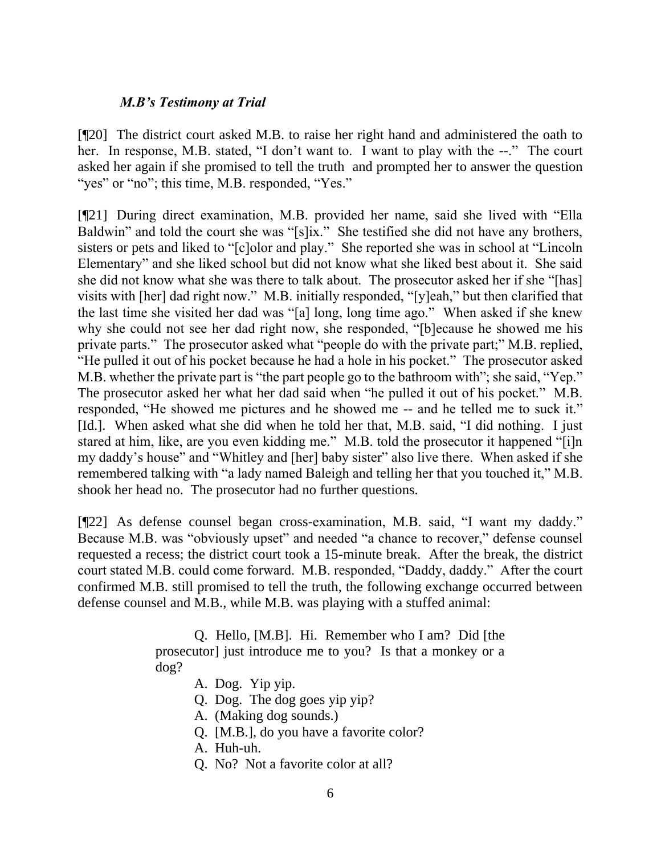### *M.B's Testimony at Trial*

[¶20] The district court asked M.B. to raise her right hand and administered the oath to her. In response, M.B. stated, "I don't want to. I want to play with the --." The court asked her again if she promised to tell the truth and prompted her to answer the question "yes" or "no"; this time, M.B. responded, "Yes."

[¶21] During direct examination, M.B. provided her name, said she lived with "Ella Baldwin" and told the court she was "[s]ix." She testified she did not have any brothers, sisters or pets and liked to "[c]olor and play." She reported she was in school at "Lincoln Elementary" and she liked school but did not know what she liked best about it. She said she did not know what she was there to talk about. The prosecutor asked her if she "[has] visits with [her] dad right now." M.B. initially responded, "[y]eah," but then clarified that the last time she visited her dad was "[a] long, long time ago." When asked if she knew why she could not see her dad right now, she responded, "[b]ecause he showed me his private parts." The prosecutor asked what "people do with the private part;" M.B. replied, "He pulled it out of his pocket because he had a hole in his pocket." The prosecutor asked M.B. whether the private part is "the part people go to the bathroom with"; she said, "Yep." The prosecutor asked her what her dad said when "he pulled it out of his pocket." M.B. responded, "He showed me pictures and he showed me -- and he telled me to suck it." [Id.]. When asked what she did when he told her that, M.B. said, "I did nothing. I just stared at him, like, are you even kidding me." M.B. told the prosecutor it happened "[i]n my daddy's house" and "Whitley and [her] baby sister" also live there. When asked if she remembered talking with "a lady named Baleigh and telling her that you touched it," M.B. shook her head no. The prosecutor had no further questions.

[¶22] As defense counsel began cross-examination, M.B. said, "I want my daddy." Because M.B. was "obviously upset" and needed "a chance to recover," defense counsel requested a recess; the district court took a 15-minute break. After the break, the district court stated M.B. could come forward. M.B. responded, "Daddy, daddy." After the court confirmed M.B. still promised to tell the truth, the following exchange occurred between defense counsel and M.B., while M.B. was playing with a stuffed animal:

> Q. Hello, [M.B]. Hi. Remember who I am? Did [the prosecutor] just introduce me to you? Is that a monkey or a dog?

- A. Dog. Yip yip.
- Q. Dog. The dog goes yip yip?
- A. (Making dog sounds.)
- Q. [M.B.], do you have a favorite color?
- A. Huh-uh.
- Q. No? Not a favorite color at all?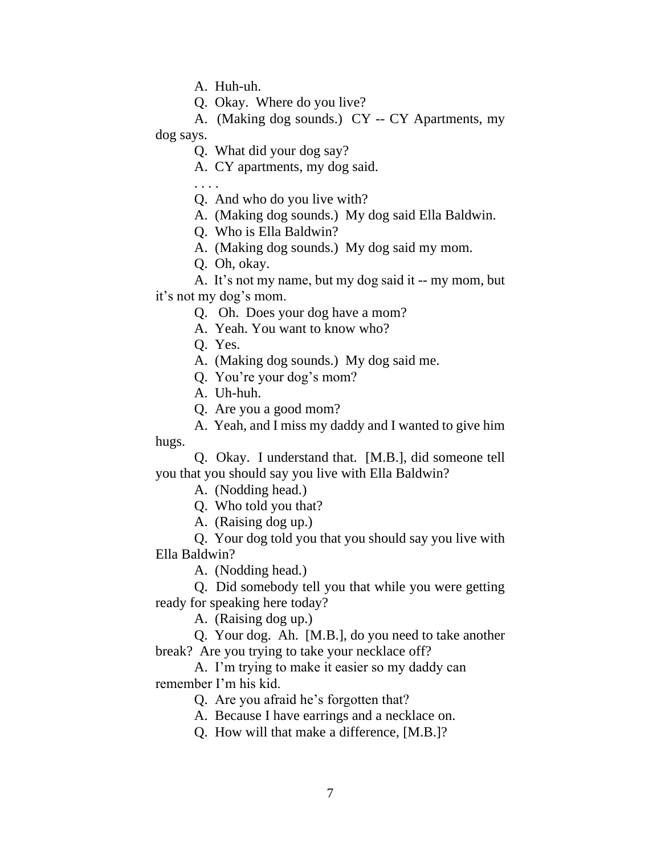A. Huh-uh.

Q. Okay. Where do you live?

A. (Making dog sounds.) CY -- CY Apartments, my dog says.

Q. What did your dog say?

A. CY apartments, my dog said.

. . . .

Q. And who do you live with?

A. (Making dog sounds.) My dog said Ella Baldwin.

Q. Who is Ella Baldwin?

A. (Making dog sounds.) My dog said my mom.

Q. Oh, okay.

A. It's not my name, but my dog said it -- my mom, but it's not my dog's mom.

Q. Oh. Does your dog have a mom?

A. Yeah. You want to know who?

Q. Yes.

A. (Making dog sounds.) My dog said me.

Q. You're your dog's mom?

A. Uh-huh.

Q. Are you a good mom?

A. Yeah, and I miss my daddy and I wanted to give him hugs.

Q. Okay. I understand that. [M.B.], did someone tell you that you should say you live with Ella Baldwin?

A. (Nodding head.)

Q. Who told you that?

A. (Raising dog up.)

Q. Your dog told you that you should say you live with Ella Baldwin?

A. (Nodding head.)

Q. Did somebody tell you that while you were getting ready for speaking here today?

A. (Raising dog up.)

Q. Your dog. Ah. [M.B.], do you need to take another break? Are you trying to take your necklace off?

A. I'm trying to make it easier so my daddy can remember I'm his kid.

Q. Are you afraid he's forgotten that?

A. Because I have earrings and a necklace on.

Q. How will that make a difference, [M.B.]?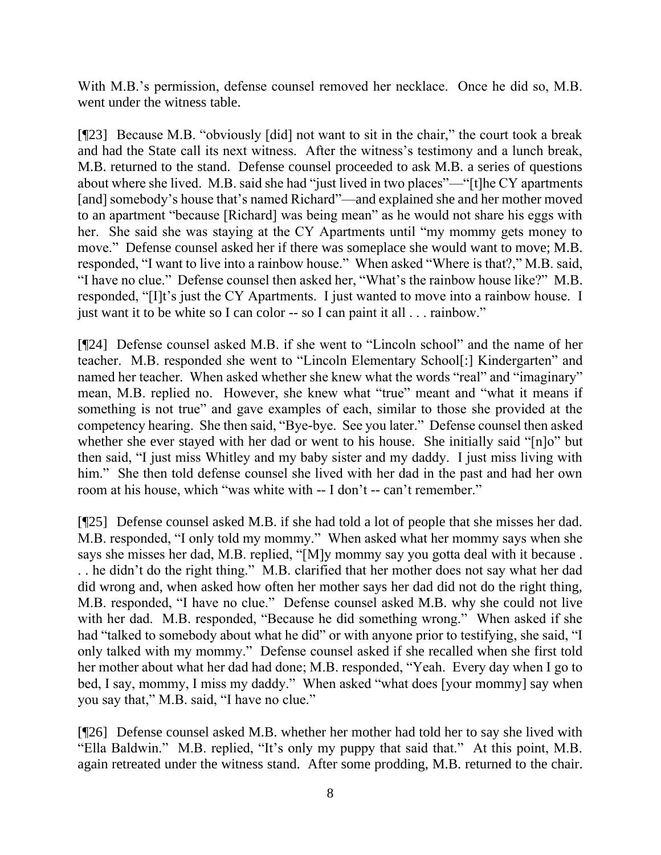With M.B.'s permission, defense counsel removed her necklace. Once he did so, M.B. went under the witness table.

[¶23] Because M.B. "obviously [did] not want to sit in the chair," the court took a break and had the State call its next witness. After the witness's testimony and a lunch break, M.B. returned to the stand. Defense counsel proceeded to ask M.B. a series of questions about where she lived. M.B. said she had "just lived in two places"—"[t]he CY apartments [and] somebody's house that's named Richard"—and explained she and her mother moved to an apartment "because [Richard] was being mean" as he would not share his eggs with her. She said she was staying at the CY Apartments until "my mommy gets money to move." Defense counsel asked her if there was someplace she would want to move; M.B. responded, "I want to live into a rainbow house." When asked "Where is that?," M.B. said, "I have no clue." Defense counsel then asked her, "What's the rainbow house like?" M.B. responded, "[I]t's just the CY Apartments. I just wanted to move into a rainbow house. I just want it to be white so I can color -- so I can paint it all . . . rainbow."

[¶24] Defense counsel asked M.B. if she went to "Lincoln school" and the name of her teacher. M.B. responded she went to "Lincoln Elementary School[:] Kindergarten" and named her teacher. When asked whether she knew what the words "real" and "imaginary" mean, M.B. replied no. However, she knew what "true" meant and "what it means if something is not true" and gave examples of each, similar to those she provided at the competency hearing. She then said, "Bye-bye. See you later." Defense counsel then asked whether she ever stayed with her dad or went to his house. She initially said "[n]o" but then said, "I just miss Whitley and my baby sister and my daddy. I just miss living with him." She then told defense counsel she lived with her dad in the past and had her own room at his house, which "was white with -- I don't -- can't remember."

[¶25] Defense counsel asked M.B. if she had told a lot of people that she misses her dad. M.B. responded, "I only told my mommy." When asked what her mommy says when she says she misses her dad, M.B. replied, "[M]y mommy say you gotta deal with it because . . . he didn't do the right thing." M.B. clarified that her mother does not say what her dad did wrong and, when asked how often her mother says her dad did not do the right thing, M.B. responded, "I have no clue." Defense counsel asked M.B. why she could not live with her dad. M.B. responded, "Because he did something wrong." When asked if she had "talked to somebody about what he did" or with anyone prior to testifying, she said, "I only talked with my mommy." Defense counsel asked if she recalled when she first told her mother about what her dad had done; M.B. responded, "Yeah. Every day when I go to bed, I say, mommy, I miss my daddy." When asked "what does [your mommy] say when you say that," M.B. said, "I have no clue."

[¶26] Defense counsel asked M.B. whether her mother had told her to say she lived with "Ella Baldwin." M.B. replied, "It's only my puppy that said that." At this point, M.B. again retreated under the witness stand. After some prodding, M.B. returned to the chair.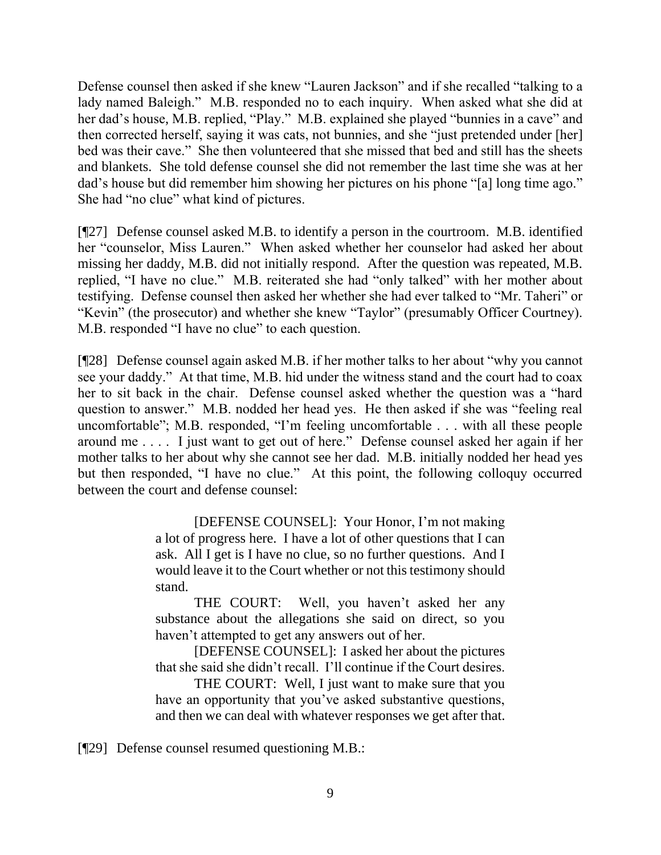Defense counsel then asked if she knew "Lauren Jackson" and if she recalled "talking to a lady named Baleigh." M.B. responded no to each inquiry. When asked what she did at her dad's house, M.B. replied, "Play." M.B. explained she played "bunnies in a cave" and then corrected herself, saying it was cats, not bunnies, and she "just pretended under [her] bed was their cave." She then volunteered that she missed that bed and still has the sheets and blankets. She told defense counsel she did not remember the last time she was at her dad's house but did remember him showing her pictures on his phone "[a] long time ago." She had "no clue" what kind of pictures.

[¶27] Defense counsel asked M.B. to identify a person in the courtroom. M.B. identified her "counselor, Miss Lauren." When asked whether her counselor had asked her about missing her daddy, M.B. did not initially respond. After the question was repeated, M.B. replied, "I have no clue." M.B. reiterated she had "only talked" with her mother about testifying. Defense counsel then asked her whether she had ever talked to "Mr. Taheri" or "Kevin" (the prosecutor) and whether she knew "Taylor" (presumably Officer Courtney). M.B. responded "I have no clue" to each question.

[¶28] Defense counsel again asked M.B. if her mother talks to her about "why you cannot see your daddy." At that time, M.B. hid under the witness stand and the court had to coax her to sit back in the chair. Defense counsel asked whether the question was a "hard question to answer." M.B. nodded her head yes. He then asked if she was "feeling real uncomfortable"; M.B. responded, "I'm feeling uncomfortable . . . with all these people around me . . . . I just want to get out of here." Defense counsel asked her again if her mother talks to her about why she cannot see her dad. M.B. initially nodded her head yes but then responded, "I have no clue." At this point, the following colloquy occurred between the court and defense counsel:

> [DEFENSE COUNSEL]: Your Honor, I'm not making a lot of progress here. I have a lot of other questions that I can ask. All I get is I have no clue, so no further questions. And I would leave it to the Court whether or not this testimony should stand.

> THE COURT: Well, you haven't asked her any substance about the allegations she said on direct, so you haven't attempted to get any answers out of her.

> [DEFENSE COUNSEL]: I asked her about the pictures that she said she didn't recall. I'll continue if the Court desires.

> THE COURT: Well, I just want to make sure that you have an opportunity that you've asked substantive questions, and then we can deal with whatever responses we get after that.

[¶29] Defense counsel resumed questioning M.B.: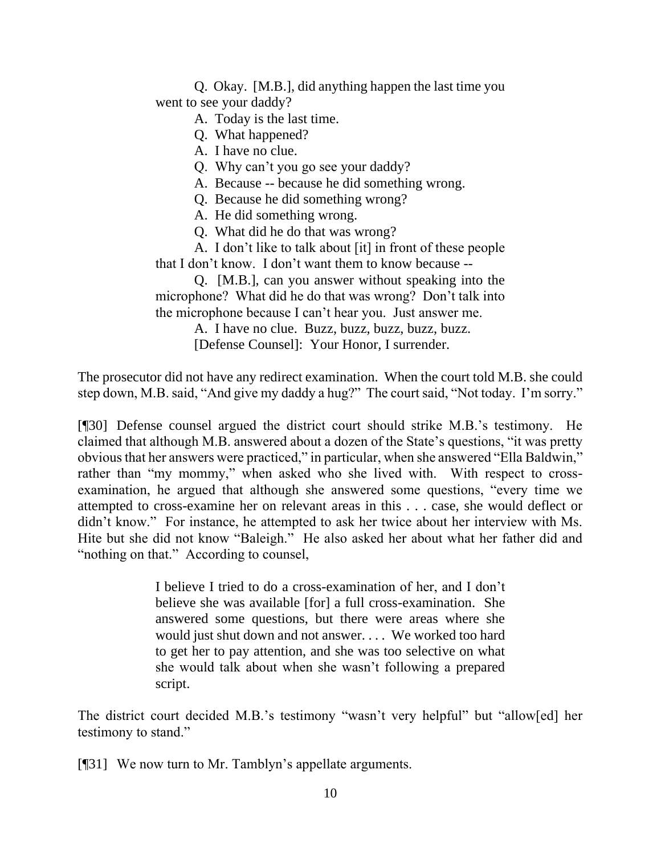Q. Okay. [M.B.], did anything happen the last time you went to see your daddy?

A. Today is the last time.

Q. What happened?

A. I have no clue.

Q. Why can't you go see your daddy?

A. Because -- because he did something wrong.

Q. Because he did something wrong?

A. He did something wrong.

Q. What did he do that was wrong?

A. I don't like to talk about [it] in front of these people that I don't know. I don't want them to know because --

Q. [M.B.], can you answer without speaking into the microphone? What did he do that was wrong? Don't talk into the microphone because I can't hear you. Just answer me.

A. I have no clue. Buzz, buzz, buzz, buzz, buzz.

[Defense Counsel]: Your Honor, I surrender.

The prosecutor did not have any redirect examination. When the court told M.B. she could step down, M.B. said, "And give my daddy a hug?" The court said, "Not today. I'm sorry."

[¶30] Defense counsel argued the district court should strike M.B.'s testimony. He claimed that although M.B. answered about a dozen of the State's questions, "it was pretty obvious that her answers were practiced," in particular, when she answered "Ella Baldwin," rather than "my mommy," when asked who she lived with. With respect to crossexamination, he argued that although she answered some questions, "every time we attempted to cross-examine her on relevant areas in this . . . case, she would deflect or didn't know." For instance, he attempted to ask her twice about her interview with Ms. Hite but she did not know "Baleigh." He also asked her about what her father did and "nothing on that." According to counsel,

> I believe I tried to do a cross-examination of her, and I don't believe she was available [for] a full cross-examination. She answered some questions, but there were areas where she would just shut down and not answer. . . . We worked too hard to get her to pay attention, and she was too selective on what she would talk about when she wasn't following a prepared script.

The district court decided M.B.'s testimony "wasn't very helpful" but "allow[ed] her testimony to stand."

[¶31] We now turn to Mr. Tamblyn's appellate arguments.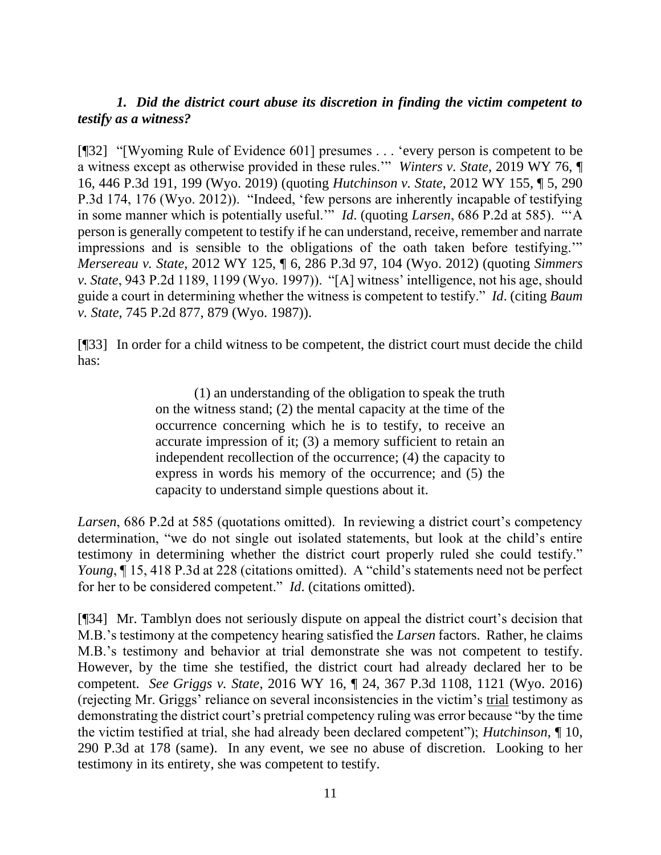## *1.**Did the district court abuse its discretion in finding the victim competent to testify as a witness?*

[¶32] "[Wyoming Rule of Evidence 601] presumes . . . 'every person is competent to be a witness except as otherwise provided in these rules.'" *Winters v. State*, 2019 WY 76, ¶ 16, 446 P.3d 191, 199 (Wyo. 2019) (quoting *Hutchinson v. State*, 2012 WY 155, ¶ 5, 290 P.3d 174, 176 (Wyo. 2012)). "Indeed, 'few persons are inherently incapable of testifying in some manner which is potentially useful.'" *Id*. (quoting *Larsen*, 686 P.2d at 585). "'A person is generally competent to testify if he can understand, receive, remember and narrate impressions and is sensible to the obligations of the oath taken before testifying.'" *Mersereau v. State*, 2012 WY 125, ¶ 6, 286 P.3d 97, 104 (Wyo. 2012) (quoting *Simmers v. State*, 943 P.2d 1189, 1199 (Wyo. 1997)). "[A] witness' intelligence, not his age, should guide a court in determining whether the witness is competent to testify." *Id*. (citing *Baum v. State*, 745 P.2d 877, 879 (Wyo. 1987)).

[¶33] In order for a child witness to be competent, the district court must decide the child has:

> (1) an understanding of the obligation to speak the truth on the witness stand; (2) the mental capacity at the time of the occurrence concerning which he is to testify, to receive an accurate impression of it; (3) a memory sufficient to retain an independent recollection of the occurrence; (4) the capacity to express in words his memory of the occurrence; and (5) the capacity to understand simple questions about it.

*Larsen*, 686 P.2d at 585 (quotations omitted). In reviewing a district court's competency determination, "we do not single out isolated statements, but look at the child's entire testimony in determining whether the district court properly ruled she could testify." *Young*, ¶ 15, 418 P.3d at 228 (citations omitted). A "child's statements need not be perfect for her to be considered competent." *Id*. (citations omitted).

[¶34] Mr. Tamblyn does not seriously dispute on appeal the district court's decision that M.B.'s testimony at the competency hearing satisfied the *Larsen* factors. Rather, he claims M.B.'s testimony and behavior at trial demonstrate she was not competent to testify. However, by the time she testified, the district court had already declared her to be competent. *See Griggs v. State*, 2016 WY 16, ¶ 24, 367 P.3d 1108, 1121 (Wyo. 2016) (rejecting Mr. Griggs' reliance on several inconsistencies in the victim's trial testimony as demonstrating the district court's pretrial competency ruling was error because "by the time the victim testified at trial, she had already been declared competent"); *Hutchinson*, ¶ 10, 290 P.3d at 178 (same). In any event, we see no abuse of discretion. Looking to her testimony in its entirety, she was competent to testify.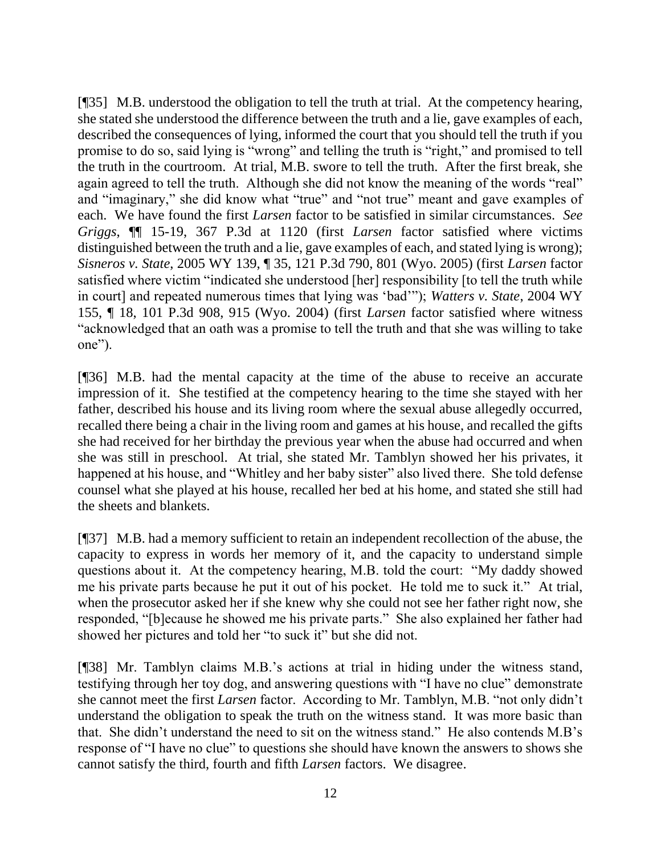[¶35] M.B. understood the obligation to tell the truth at trial. At the competency hearing, she stated she understood the difference between the truth and a lie, gave examples of each, described the consequences of lying, informed the court that you should tell the truth if you promise to do so, said lying is "wrong" and telling the truth is "right," and promised to tell the truth in the courtroom. At trial, M.B. swore to tell the truth. After the first break, she again agreed to tell the truth. Although she did not know the meaning of the words "real" and "imaginary," she did know what "true" and "not true" meant and gave examples of each. We have found the first *Larsen* factor to be satisfied in similar circumstances. *See Griggs*, ¶¶ 15-19, 367 P.3d at 1120 (first *Larsen* factor satisfied where victims distinguished between the truth and a lie, gave examples of each, and stated lying is wrong); *Sisneros v. State*, 2005 WY 139, ¶ 35, 121 P.3d 790, 801 (Wyo. 2005) (first *Larsen* factor satisfied where victim "indicated she understood [her] responsibility [to tell the truth while in court] and repeated numerous times that lying was 'bad'"); *Watters v. State*, 2004 WY 155, ¶ 18, 101 P.3d 908, 915 (Wyo. 2004) (first *Larsen* factor satisfied where witness "acknowledged that an oath was a promise to tell the truth and that she was willing to take one").

[¶36] M.B. had the mental capacity at the time of the abuse to receive an accurate impression of it. She testified at the competency hearing to the time she stayed with her father, described his house and its living room where the sexual abuse allegedly occurred, recalled there being a chair in the living room and games at his house, and recalled the gifts she had received for her birthday the previous year when the abuse had occurred and when she was still in preschool. At trial, she stated Mr. Tamblyn showed her his privates, it happened at his house, and "Whitley and her baby sister" also lived there. She told defense counsel what she played at his house, recalled her bed at his home, and stated she still had the sheets and blankets.

[¶37] M.B. had a memory sufficient to retain an independent recollection of the abuse, the capacity to express in words her memory of it, and the capacity to understand simple questions about it. At the competency hearing, M.B. told the court: "My daddy showed me his private parts because he put it out of his pocket. He told me to suck it." At trial, when the prosecutor asked her if she knew why she could not see her father right now, she responded, "[b]ecause he showed me his private parts." She also explained her father had showed her pictures and told her "to suck it" but she did not.

[¶38] Mr. Tamblyn claims M.B.'s actions at trial in hiding under the witness stand, testifying through her toy dog, and answering questions with "I have no clue" demonstrate she cannot meet the first *Larsen* factor. According to Mr. Tamblyn, M.B. "not only didn't understand the obligation to speak the truth on the witness stand. It was more basic than that. She didn't understand the need to sit on the witness stand." He also contends M.B's response of "I have no clue" to questions she should have known the answers to shows she cannot satisfy the third, fourth and fifth *Larsen* factors. We disagree.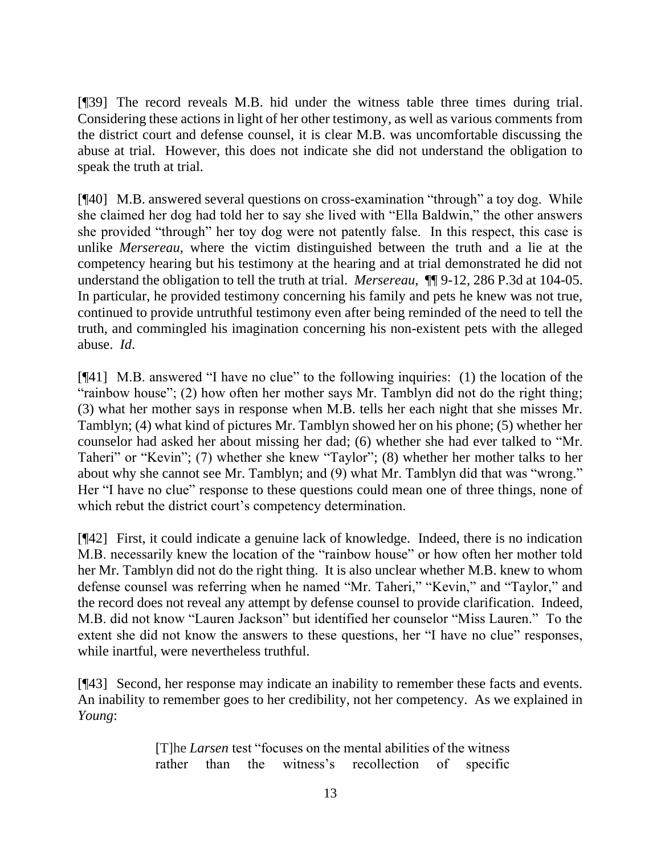[¶39] The record reveals M.B. hid under the witness table three times during trial. Considering these actions in light of her other testimony, as well as various comments from the district court and defense counsel, it is clear M.B. was uncomfortable discussing the abuse at trial. However, this does not indicate she did not understand the obligation to speak the truth at trial.

[¶40] M.B. answered several questions on cross-examination "through" a toy dog. While she claimed her dog had told her to say she lived with "Ella Baldwin," the other answers she provided "through" her toy dog were not patently false. In this respect, this case is unlike *Mersereau*, where the victim distinguished between the truth and a lie at the competency hearing but his testimony at the hearing and at trial demonstrated he did not understand the obligation to tell the truth at trial. *Mersereau*, ¶¶ 9-12, 286 P.3d at 104-05. In particular, he provided testimony concerning his family and pets he knew was not true, continued to provide untruthful testimony even after being reminded of the need to tell the truth, and commingled his imagination concerning his non-existent pets with the alleged abuse. *Id*.

[¶41] M.B. answered "I have no clue" to the following inquiries: (1) the location of the "rainbow house"; (2) how often her mother says Mr. Tamblyn did not do the right thing; (3) what her mother says in response when M.B. tells her each night that she misses Mr. Tamblyn; (4) what kind of pictures Mr. Tamblyn showed her on his phone; (5) whether her counselor had asked her about missing her dad; (6) whether she had ever talked to "Mr. Taheri" or "Kevin"; (7) whether she knew "Taylor"; (8) whether her mother talks to her about why she cannot see Mr. Tamblyn; and (9) what Mr. Tamblyn did that was "wrong." Her "I have no clue" response to these questions could mean one of three things, none of which rebut the district court's competency determination.

[¶42] First, it could indicate a genuine lack of knowledge. Indeed, there is no indication M.B. necessarily knew the location of the "rainbow house" or how often her mother told her Mr. Tamblyn did not do the right thing. It is also unclear whether M.B. knew to whom defense counsel was referring when he named "Mr. Taheri," "Kevin," and "Taylor," and the record does not reveal any attempt by defense counsel to provide clarification. Indeed, M.B. did not know "Lauren Jackson" but identified her counselor "Miss Lauren." To the extent she did not know the answers to these questions, her "I have no clue" responses, while inartful, were nevertheless truthful.

[¶43] Second, her response may indicate an inability to remember these facts and events. An inability to remember goes to her credibility, not her competency. As we explained in *Young*:

> [T]he *[Larsen](https://1.next.westlaw.com/Link/Document/FullText?findType=Y&serNum=1984139864&pubNum=0000661&originatingDoc=I36cbc990644b11e89034f60e1699ddbe&refType=RP&originationContext=document&transitionType=DocumentItem&contextData=(sc.Search))* test "focuses on the mental abilities of the witness rather than the witness's recollection of specific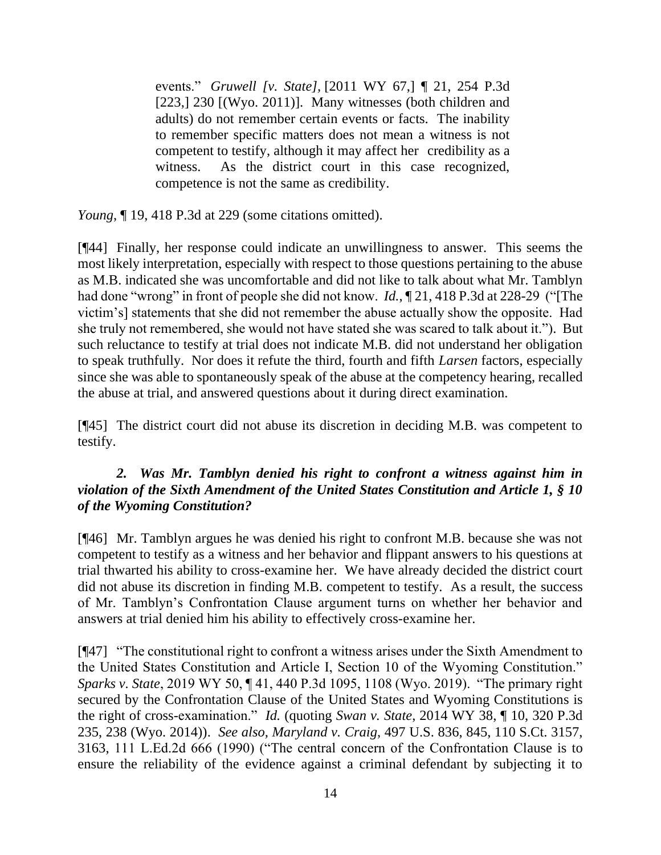events." *Gruwell [v. State],* [2011 WY 67,] ¶ 21, 254 P.3d [223,] 230 [(Wyo. 2011)]. Many witnesses (both children and adults) do not remember certain events or facts. The inability to remember specific matters does not mean a witness is not competent to testify, although it may affect her credibility as a witness. As the district court in this case recognized, competence is not the same as credibility.

*Young*, ¶ 19, 418 P.3d at 229 (some citations omitted).

[¶44] Finally, her response could indicate an unwillingness to answer. This seems the most likely interpretation, especially with respect to those questions pertaining to the abuse as M.B. indicated she was uncomfortable and did not like to talk about what Mr. Tamblyn had done "wrong" in front of people she did not know. *Id.*, ¶ 21, 418 P.3d at 228-29 ("[The victim's] statements that she did not remember the abuse actually show the opposite. Had she truly not remembered, she would not have stated she was scared to talk about it."). But such reluctance to testify at trial does not indicate M.B. did not understand her obligation to speak truthfully. Nor does it refute the third, fourth and fifth *Larsen* factors, especially since she was able to spontaneously speak of the abuse at the competency hearing, recalled the abuse at trial, and answered questions about it during direct examination.

[¶45] The district court did not abuse its discretion in deciding M.B. was competent to testify.

## 2. Was Mr. Tamblyn denied his right to confront a witness against him in *violation of the Sixth Amendment of the United States Constitution and Article 1, § 10 of the Wyoming Constitution?*

[¶46] Mr. Tamblyn argues he was denied his right to confront M.B. because she was not competent to testify as a witness and her behavior and flippant answers to his questions at trial thwarted his ability to cross-examine her. We have already decided the district court did not abuse its discretion in finding M.B. competent to testify. As a result, the success of Mr. Tamblyn's Confrontation Clause argument turns on whether her behavior and answers at trial denied him his ability to effectively cross-examine her.

[¶47] "The constitutional right to confront a witness arises under the Sixth Amendment to the United States Constitution and Article I, Section 10 of the Wyoming Constitution." *Sparks v. State*, 2019 WY 50, ¶ 41, 440 P.3d 1095, 1108 (Wyo. 2019). "The primary right secured by the Confrontation Clause of the United States and Wyoming Constitutions is the right of cross-examination." *Id.* (quoting *Swan v. State*, 2014 WY 38, ¶ 10, 320 P.3d 235, 238 (Wyo. 2014)). *See also, Maryland v. Craig*, 497 U.S. 836, 845, 110 S.Ct. 3157, 3163, 111 L.Ed.2d 666 (1990) ("The central concern of the Confrontation Clause is to ensure the reliability of the evidence against a criminal defendant by subjecting it to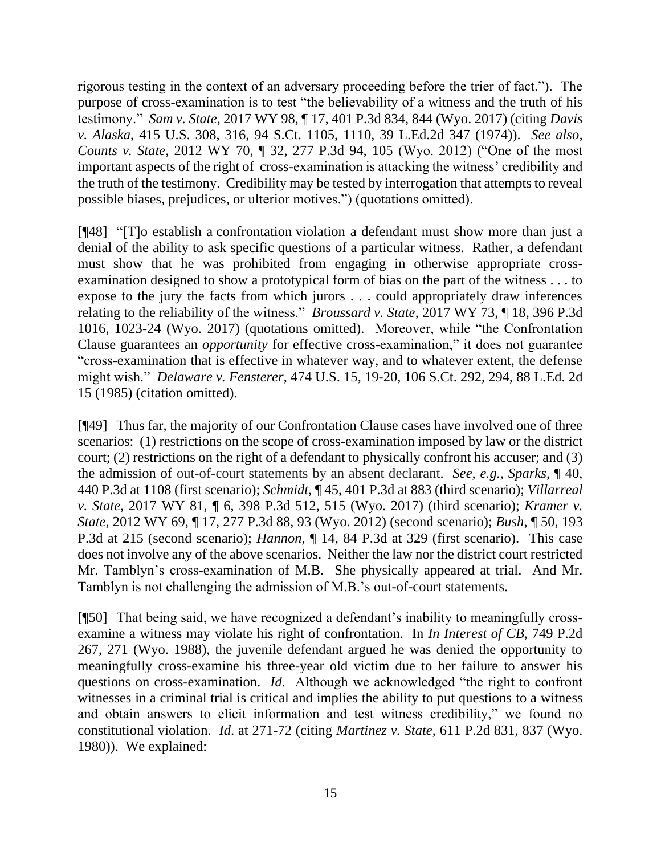rigorous testing in the context of an adversary proceeding before the trier of fact."). The purpose of cross-examination is to test "the believability of a witness and the truth of his testimony." *Sam v. State*, 2017 WY 98, ¶ 17, 401 P.3d 834, 844 (Wyo. 2017) (citing *Davis v. Alaska*, 415 U.S. 308, 316, 94 S.Ct. 1105, 1110, 39 L.Ed.2d 347 (1974)). *See also, Counts v. State*, 2012 WY 70, ¶ 32, 277 P.3d 94, 105 (Wyo. 2012) ("One of the most important aspects of the right of cross-examination is attacking the witness' credibility and the truth of the testimony. Credibility may be tested by interrogation that attempts to reveal possible biases, prejudices, or ulterior motives.") (quotations omitted).

[¶48] "[T]o establish a confrontation violation a defendant must show more than just a denial of the ability to ask specific questions of a particular witness. Rather, a defendant must show that he was prohibited from engaging in otherwise appropriate crossexamination designed to show a prototypical form of bias on the part of the witness . . . to expose to the jury the facts from which jurors . . . could appropriately draw inferences relating to the reliability of the witness." *Broussard v. State*, 2017 WY 73, ¶ 18, 396 P.3d 1016, 1023-24 (Wyo. 2017) (quotations omitted). Moreover, while "the Confrontation Clause guarantees an *opportunity* for effective cross-examination," it does not guarantee "cross-examination that is effective in whatever way, and to whatever extent, the defense might wish." *Delaware v. Fensterer*, 474 U.S. 15, 19-20, 106 S.Ct. 292, 294, 88 L.Ed. 2d 15 (1985) (citation omitted).

[¶49] Thus far, the majority of our Confrontation Clause cases have involved one of three scenarios: (1) restrictions on the scope of cross-examination imposed by law or the district court; (2) restrictions on the right of a defendant to physically confront his accuser; and (3) the admission of out-of-court statements by an absent declarant. *See, e.g., Sparks*, ¶ 40, 440 P.3d at 1108 (first scenario); *Schmidt*, ¶ 45, 401 P.3d at 883 (third scenario); *Villarreal v. State*, 2017 WY 81, ¶ 6, 398 P.3d 512, 515 (Wyo. 2017) (third scenario); *Kramer v. State*, 2012 WY 69, ¶ 17, 277 P.3d 88, 93 (Wyo. 2012) (second scenario); *Bush*, ¶ 50, 193 P.3d at 215 (second scenario); *Hannon*, ¶ 14, 84 P.3d at 329 (first scenario). This case does not involve any of the above scenarios. Neither the law nor the district court restricted Mr. Tamblyn's cross-examination of M.B. She physically appeared at trial. And Mr. Tamblyn is not challenging the admission of M.B.'s out-of-court statements.

[¶50] That being said, we have recognized a defendant's inability to meaningfully crossexamine a witness may violate his right of confrontation. In *In Interest of CB*, 749 P.2d 267, 271 (Wyo. 1988), the juvenile defendant argued he was denied the opportunity to meaningfully cross-examine his three-year old victim due to her failure to answer his questions on cross-examination. *Id*. Although we acknowledged "the right to confront witnesses in a criminal trial is critical and implies the ability to put questions to a witness and obtain answers to elicit information and test witness credibility," we found no constitutional violation. *Id*. at 271-72 (citing *Martinez v. State*, 611 P.2d 831, 837 (Wyo. 1980)). We explained: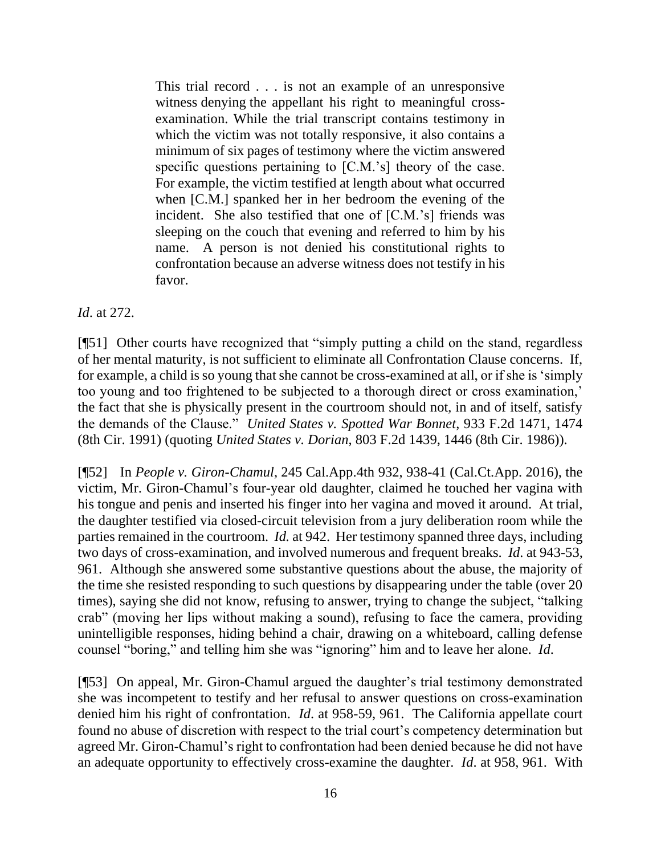This trial record . . . is not an example of an unresponsive witness denying the appellant his right to meaningful crossexamination. While the trial transcript contains testimony in which the victim was not totally responsive, it also contains a minimum of six pages of testimony where the victim answered specific questions pertaining to [C.M.'s] theory of the case. For example, the victim testified at length about what occurred when [C.M.] spanked her in her bedroom the evening of the incident. She also testified that one of [C.M.'s] friends was sleeping on the couch that evening and referred to him by his name. A person is not denied his constitutional rights to confrontation because an adverse witness does not testify in his favor.

*Id*. at 272.

[¶51] Other courts have recognized that "simply putting a child on the stand, regardless of her mental maturity, is not sufficient to eliminate all Confrontation Clause concerns. If, for example, a child is so young that she cannot be cross-examined at all, or if she is 'simply too young and too frightened to be subjected to a thorough direct or cross examination,' the fact that she is physically present in the courtroom should not, in and of itself, satisfy the demands of the Clause." *United States v. Spotted War Bonnet*, 933 F.2d 1471, 1474 (8th Cir. 1991) (quoting *United States v. Dorian*, 803 F.2d 1439, 1446 (8th Cir. 1986)).

[¶52] In *People v. Giron-Chamul*, 245 Cal.App.4th 932, 938-41 (Cal.Ct.App. 2016), the victim, Mr. Giron-Chamul's four-year old daughter, claimed he touched her vagina with his tongue and penis and inserted his finger into her vagina and moved it around. At trial, the daughter testified via closed-circuit television from a jury deliberation room while the parties remained in the courtroom. *Id.* at 942. Her testimony spanned three days, including two days of cross-examination, and involved numerous and frequent breaks. *Id*. at 943-53, 961. Although she answered some substantive questions about the abuse, the majority of the time she resisted responding to such questions by disappearing under the table (over 20 times), saying she did not know, refusing to answer, trying to change the subject, "talking crab" (moving her lips without making a sound), refusing to face the camera, providing unintelligible responses, hiding behind a chair, drawing on a whiteboard, calling defense counsel "boring," and telling him she was "ignoring" him and to leave her alone. *Id*.

[¶53] On appeal, Mr. Giron-Chamul argued the daughter's trial testimony demonstrated she was incompetent to testify and her refusal to answer questions on cross-examination denied him his right of confrontation. *Id*. at 958-59, 961. The California appellate court found no abuse of discretion with respect to the trial court's competency determination but agreed Mr. Giron-Chamul's right to confrontation had been denied because he did not have an adequate opportunity to effectively cross-examine the daughter. *Id*. at 958, 961. With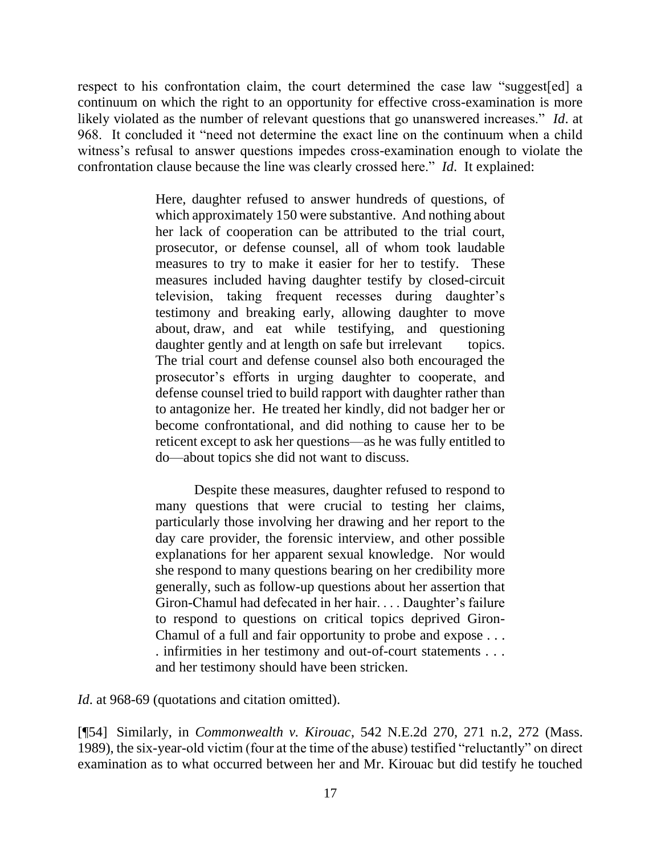respect to his confrontation claim, the court determined the case law "suggest[ed] a continuum on which the right to an opportunity for effective cross-examination is more likely violated as the number of relevant questions that go unanswered increases." *Id*. at 968. It concluded it "need not determine the exact line on the continuum when a child witness's refusal to answer questions impedes cross-examination enough to violate the confrontation clause because the line was clearly crossed here." *Id*. It explained:

> Here, daughter refused to answer hundreds of questions, of which approximately 150 were substantive. And nothing about her lack of cooperation can be attributed to the trial court, prosecutor, or defense counsel, all of whom took laudable measures to try to make it easier for her to testify. These measures included having daughter testify by closed-circuit television, taking frequent recesses during daughter's testimony and breaking early, allowing daughter to move about, draw, and eat while testifying, and questioning daughter gently and at length on safe but irrelevant topics. The trial court and defense counsel also both encouraged the prosecutor's efforts in urging daughter to cooperate, and defense counsel tried to build rapport with daughter rather than to antagonize her. He treated her kindly, did not badger her or become confrontational, and did nothing to cause her to be reticent except to ask her questions—as he was fully entitled to do—about topics she did not want to discuss.

> Despite these measures, daughter refused to respond to many questions that were crucial to testing her claims, particularly those involving her drawing and her report to the day care provider, the forensic interview, and other possible explanations for her apparent sexual knowledge. Nor would she respond to many questions bearing on her credibility more generally, such as follow-up questions about her assertion that Giron-Chamul had defecated in her hair. . . . Daughter's failure to respond to questions on critical topics deprived Giron-Chamul of a full and fair opportunity to probe and expose . . . . infirmities in her testimony and out-of-court statements . . . and her testimony should have been stricken.

*Id.* at 968-69 (quotations and citation omitted).

[¶54] Similarly, in *Commonwealth v. Kirouac*, 542 N.E.2d 270, 271 n.2, 272 (Mass. 1989), the six-year-old victim (four at the time of the abuse) testified "reluctantly" on direct examination as to what occurred between her and Mr. Kirouac but did testify he touched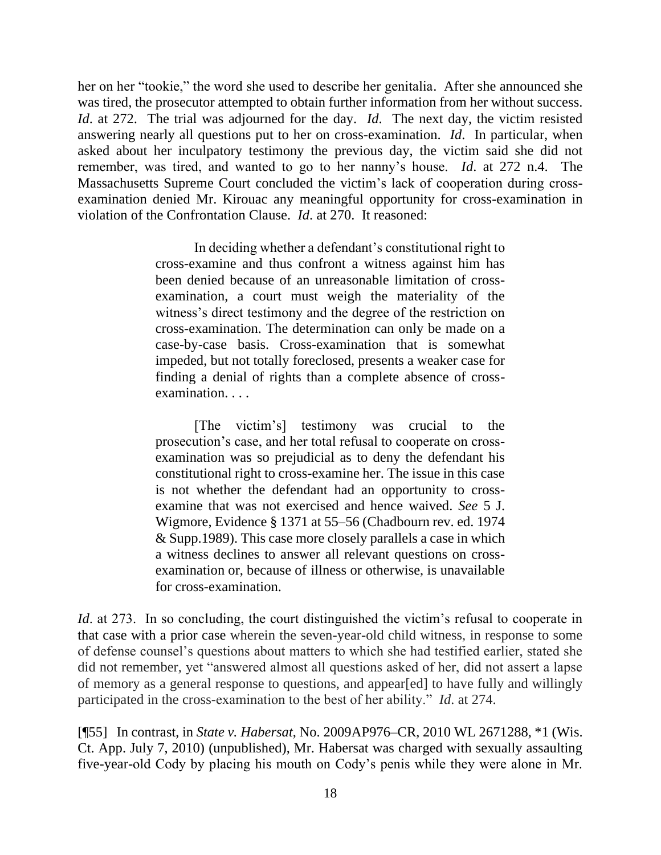her on her "tookie," the word she used to describe her genitalia. After she announced she was tired, the prosecutor attempted to obtain further information from her without success. *Id*. at 272. The trial was adjourned for the day. *Id*. The next day, the victim resisted answering nearly all questions put to her on cross-examination. *Id*. In particular, when asked about her inculpatory testimony the previous day, the victim said she did not remember, was tired, and wanted to go to her nanny's house. *Id*. at 272 n.4. The Massachusetts Supreme Court concluded the victim's lack of cooperation during crossexamination denied Mr. Kirouac any meaningful opportunity for cross-examination in violation of the Confrontation Clause. *Id*. at 270. It reasoned:

> In deciding whether a defendant's constitutional right to cross-examine and thus confront a witness against him has been denied because of an unreasonable limitation of crossexamination, a court must weigh the materiality of the witness's direct testimony and the degree of the restriction on cross-examination. The determination can only be made on a case-by-case basis. Cross-examination that is somewhat impeded, but not totally foreclosed, presents a weaker case for finding a denial of rights than a complete absence of crossexamination. . . .

> [The victim's] testimony was crucial to the prosecution's case, and her total refusal to cooperate on crossexamination was so prejudicial as to deny the defendant his constitutional right to cross-examine her. The issue in this case is not whether the defendant had an opportunity to crossexamine that was not exercised and hence waived. *See* 5 J. Wigmore, Evidence § 1371 at 55–56 (Chadbourn rev. ed. 1974 & Supp.1989). This case more closely parallels a case in which a witness declines to answer all relevant questions on crossexamination or, because of illness or otherwise, is unavailable for cross-examination.

*Id.* at 273. In so concluding, the court distinguished the victim's refusal to cooperate in that case with a prior case wherein the seven-year-old child witness, in response to some of defense counsel's questions about matters to which she had testified earlier, stated she did not remember, yet "answered almost all questions asked of her, did not assert a lapse of memory as a general response to questions, and appear[ed] to have fully and willingly participated in the cross-examination to the best of her ability." *Id*. at 274.

[¶55] In contrast, in *State v. Habersat*, No. 2009AP976–CR, 2010 WL 2671288, \*1 (Wis. Ct. App. July 7, 2010) (unpublished), Mr. Habersat was charged with sexually assaulting five-year-old Cody by placing his mouth on Cody's penis while they were alone in Mr.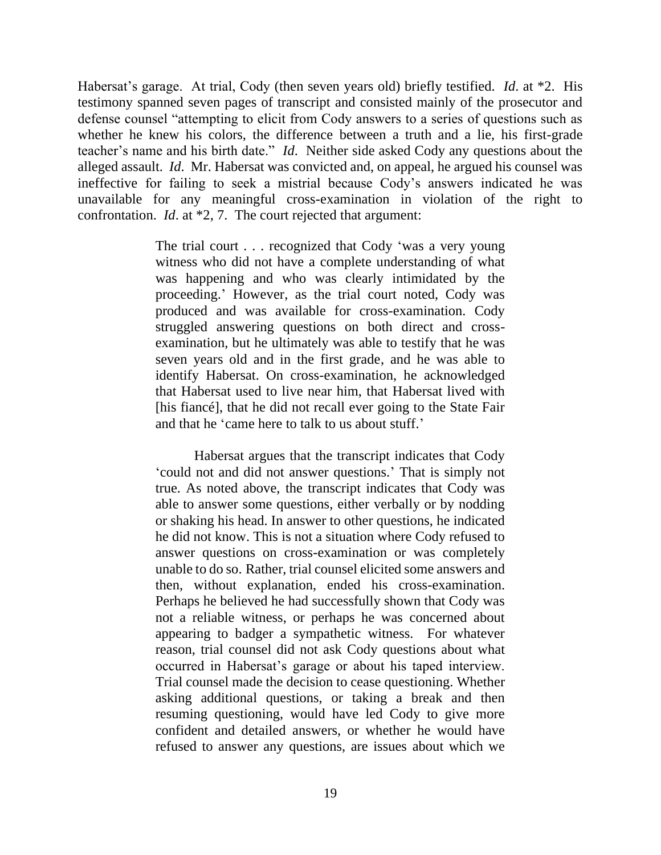Habersat's garage. At trial, Cody (then seven years old) briefly testified. *Id*. at \*2. His testimony spanned seven pages of transcript and consisted mainly of the prosecutor and defense counsel "attempting to elicit from Cody answers to a series of questions such as whether he knew his colors, the difference between a truth and a lie, his first-grade teacher's name and his birth date." *Id*. Neither side asked Cody any questions about the alleged assault. *Id*. Mr. Habersat was convicted and, on appeal, he argued his counsel was ineffective for failing to seek a mistrial because Cody's answers indicated he was unavailable for any meaningful cross-examination in violation of the right to confrontation. *Id*. at \*2, 7. The court rejected that argument:

> The trial court . . . recognized that Cody 'was a very young witness who did not have a complete understanding of what was happening and who was clearly intimidated by the proceeding.' However, as the trial court noted, Cody was produced and was available for cross-examination. Cody struggled answering questions on both direct and crossexamination, but he ultimately was able to testify that he was seven years old and in the first grade, and he was able to identify Habersat. On cross-examination, he acknowledged that Habersat used to live near him, that Habersat lived with [his fiancé], that he did not recall ever going to the State Fair and that he 'came here to talk to us about stuff.'

> Habersat argues that the transcript indicates that Cody 'could not and did not answer questions.' That is simply not true. As noted above, the transcript indicates that Cody was able to answer some questions, either verbally or by nodding or shaking his head. In answer to other questions, he indicated he did not know. This is not a situation where Cody refused to answer questions on cross-examination or was completely unable to do so. Rather, trial counsel elicited some answers and then, without explanation, ended his cross-examination. Perhaps he believed he had successfully shown that Cody was not a reliable witness, or perhaps he was concerned about appearing to badger a sympathetic witness. For whatever reason, trial counsel did not ask Cody questions about what occurred in Habersat's garage or about his taped interview. Trial counsel made the decision to cease questioning. Whether asking additional questions, or taking a break and then resuming questioning, would have led Cody to give more confident and detailed answers, or whether he would have refused to answer any questions, are issues about which we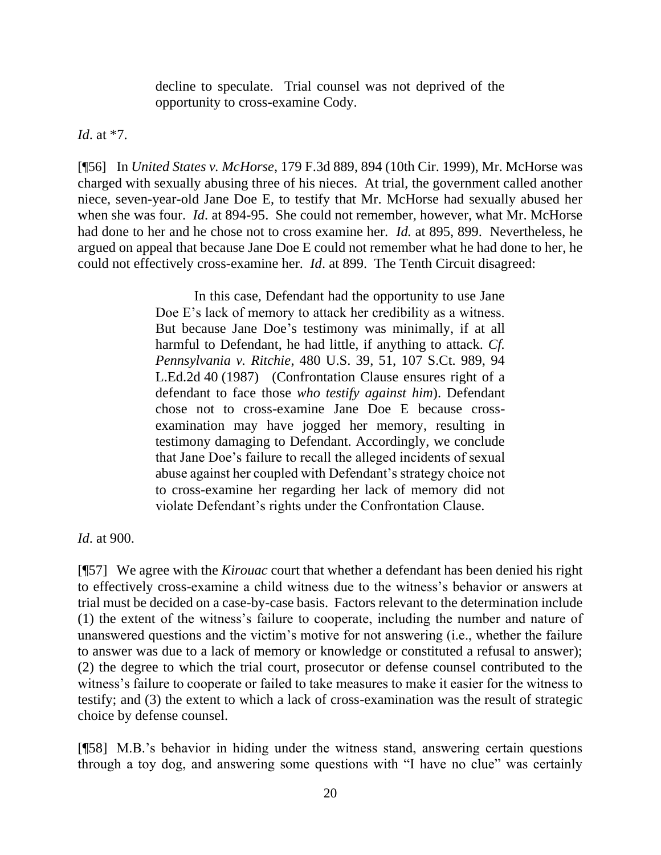decline to speculate. Trial counsel was not deprived of the opportunity to cross-examine Cody.

*Id*. at \*7.

[¶56] In *United States v. McHorse*, 179 F.3d 889, 894 (10th Cir. 1999), Mr. McHorse was charged with sexually abusing three of his nieces. At trial, the government called another niece, seven-year-old Jane Doe E, to testify that Mr. McHorse had sexually abused her when she was four. *Id*. at 894-95. She could not remember, however, what Mr. McHorse had done to her and he chose not to cross examine her. *Id.* at 895, 899. Nevertheless, he argued on appeal that because Jane Doe E could not remember what he had done to her, he could not effectively cross-examine her. *Id*. at 899. The Tenth Circuit disagreed:

> In this case, Defendant had the opportunity to use Jane Doe E's lack of memory to attack her credibility as a witness. But because Jane Doe's testimony was minimally, if at all harmful to Defendant, he had little, if anything to attack. *Cf. Pennsylvania v. Ritchie*, 480 U.S. 39, 51, 107 S.Ct. 989, 94 L.Ed.2d 40 (1987) (Confrontation Clause ensures right of a defendant to face those *who testify against him*). Defendant chose not to cross-examine Jane Doe E because crossexamination may have jogged her memory, resulting in testimony damaging to Defendant. Accordingly, we conclude that Jane Doe's failure to recall the alleged incidents of sexual abuse against her coupled with Defendant's strategy choice not to cross-examine her regarding her lack of memory did not violate Defendant's rights under the Confrontation Clause.

*Id*. at 900.

[¶57] We agree with the *Kirouac* court that whether a defendant has been denied his right to effectively cross-examine a child witness due to the witness's behavior or answers at trial must be decided on a case-by-case basis. Factors relevant to the determination include (1) the extent of the witness's failure to cooperate, including the number and nature of unanswered questions and the victim's motive for not answering (i.e., whether the failure to answer was due to a lack of memory or knowledge or constituted a refusal to answer); (2) the degree to which the trial court, prosecutor or defense counsel contributed to the witness's failure to cooperate or failed to take measures to make it easier for the witness to testify; and (3) the extent to which a lack of cross-examination was the result of strategic choice by defense counsel.

[¶58] M.B.'s behavior in hiding under the witness stand, answering certain questions through a toy dog, and answering some questions with "I have no clue" was certainly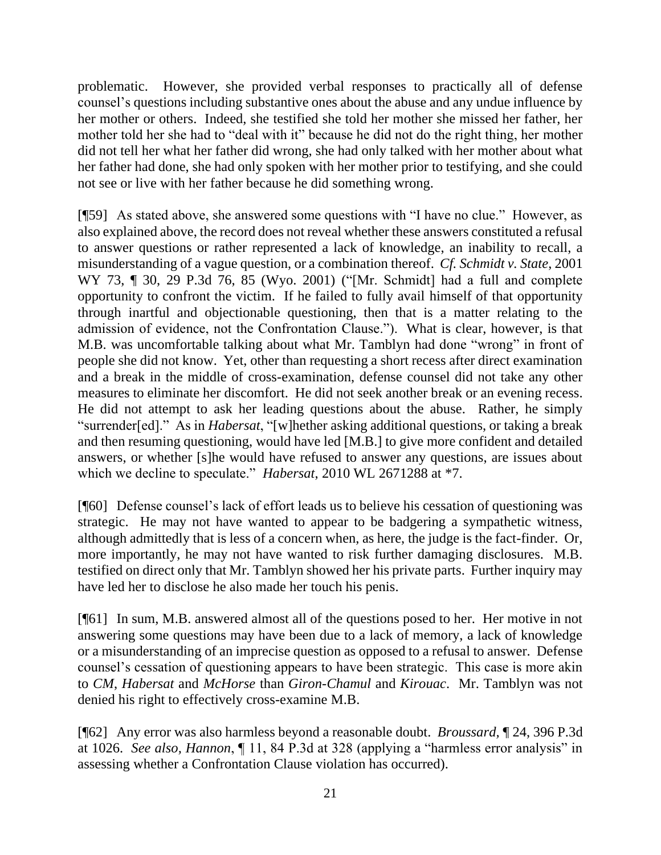problematic. However, she provided verbal responses to practically all of defense counsel's questions including substantive ones about the abuse and any undue influence by her mother or others. Indeed, she testified she told her mother she missed her father, her mother told her she had to "deal with it" because he did not do the right thing, her mother did not tell her what her father did wrong, she had only talked with her mother about what her father had done, she had only spoken with her mother prior to testifying, and she could not see or live with her father because he did something wrong.

[¶59] As stated above, she answered some questions with "I have no clue." However, as also explained above, the record does not reveal whether these answers constituted a refusal to answer questions or rather represented a lack of knowledge, an inability to recall, a misunderstanding of a vague question, or a combination thereof. *Cf. Schmidt v. State*, 2001 WY 73, ¶ 30, 29 P.3d 76, 85 (Wyo. 2001) ("[Mr. Schmidt] had a full and complete opportunity to confront the victim. If he failed to fully avail himself of that opportunity through inartful and objectionable questioning, then that is a matter relating to the admission of evidence, not the Confrontation Clause."). What is clear, however, is that M.B. was uncomfortable talking about what Mr. Tamblyn had done "wrong" in front of people she did not know. Yet, other than requesting a short recess after direct examination and a break in the middle of cross-examination, defense counsel did not take any other measures to eliminate her discomfort. He did not seek another break or an evening recess. He did not attempt to ask her leading questions about the abuse. Rather, he simply "surrender[ed]." As in *Habersat*, "[w]hether asking additional questions, or taking a break and then resuming questioning, would have led [M.B.] to give more confident and detailed answers, or whether [s]he would have refused to answer any questions, are issues about which we decline to speculate." *Habersat*, 2010 WL 2671288 at \*7.

[¶60] Defense counsel's lack of effort leads us to believe his cessation of questioning was strategic. He may not have wanted to appear to be badgering a sympathetic witness, although admittedly that is less of a concern when, as here, the judge is the fact-finder. Or, more importantly, he may not have wanted to risk further damaging disclosures. M.B. testified on direct only that Mr. Tamblyn showed her his private parts. Further inquiry may have led her to disclose he also made her touch his penis.

[¶61] In sum, M.B. answered almost all of the questions posed to her. Her motive in not answering some questions may have been due to a lack of memory, a lack of knowledge or a misunderstanding of an imprecise question as opposed to a refusal to answer. Defense counsel's cessation of questioning appears to have been strategic. This case is more akin to *CM*, *Habersat* and *McHorse* than *Giron-Chamul* and *Kirouac*. Mr. Tamblyn was not denied his right to effectively cross-examine M.B.

[¶62] Any error was also harmless beyond a reasonable doubt. *Broussard,* ¶ 24, 396 P.3d at 1026. *See also, Hannon*, ¶ 11, 84 P.3d at 328 (applying a "harmless error analysis" in assessing whether a Confrontation Clause violation has occurred).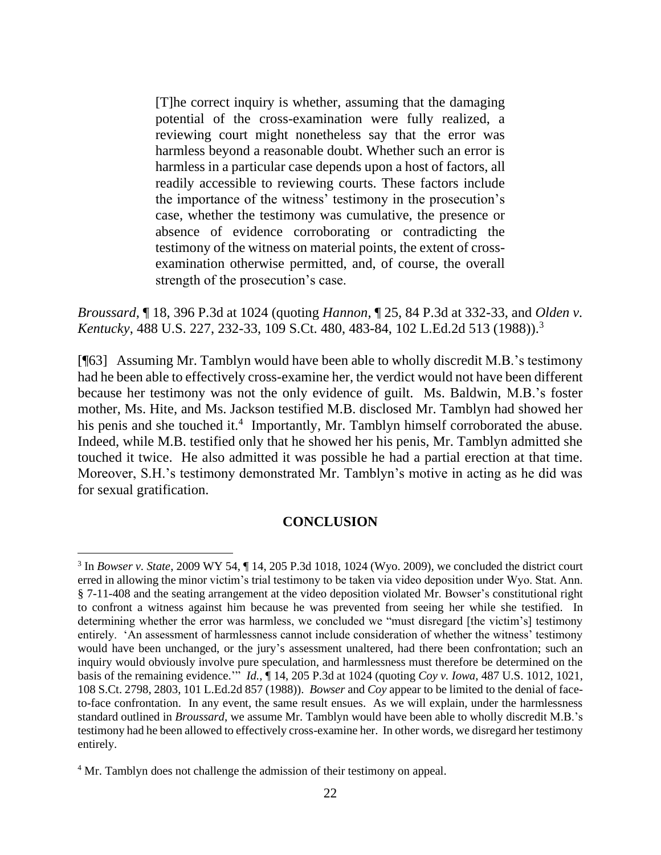[T]he correct inquiry is whether, assuming that the damaging potential of the cross-examination were fully realized, a reviewing court might nonetheless say that the error was harmless beyond a reasonable doubt. Whether such an error is harmless in a particular case depends upon a host of factors, all readily accessible to reviewing courts. These factors include the importance of the witness' testimony in the prosecution's case, whether the testimony was cumulative, the presence or absence of evidence corroborating or contradicting the testimony of the witness on material points, the extent of crossexamination otherwise permitted, and, of course, the overall strength of the prosecution's case.

*Broussard,* ¶ 18, 396 P.3d at 1024 (quoting *Hannon*, ¶ 25, 84 P.3d at 332-33, and *Olden v. Kentucky*, 488 U.S. 227, 232-33, 109 S.Ct. 480, 483-84, 102 L.Ed.2d 513 (1988)).<sup>3</sup>

[¶63] Assuming Mr. Tamblyn would have been able to wholly discredit M.B.'s testimony had he been able to effectively cross-examine her, the verdict would not have been different because her testimony was not the only evidence of guilt. Ms. Baldwin, M.B.'s foster mother, Ms. Hite, and Ms. Jackson testified M.B. disclosed Mr. Tamblyn had showed her his penis and she touched it.<sup>4</sup> Importantly, Mr. Tamblyn himself corroborated the abuse. Indeed, while M.B. testified only that he showed her his penis, Mr. Tamblyn admitted she touched it twice. He also admitted it was possible he had a partial erection at that time. Moreover, S.H.'s testimony demonstrated Mr. Tamblyn's motive in acting as he did was for sexual gratification.

### **CONCLUSION**

<sup>3</sup> In *Bowser v. State*, 2009 WY 54, ¶ 14, 205 P.3d 1018, 1024 (Wyo. 2009), we concluded the district court erred in allowing the minor victim's trial testimony to be taken via video deposition under Wyo. Stat. Ann. § 7-11-408 and the seating arrangement at the video deposition violated Mr. Bowser's constitutional right to confront a witness against him because he was prevented from seeing her while she testified. In determining whether the error was harmless, we concluded we "must disregard [the victim's] testimony entirely. 'An assessment of harmlessness cannot include consideration of whether the witness' testimony would have been unchanged, or the jury's assessment unaltered, had there been confrontation; such an inquiry would obviously involve pure speculation, and harmlessness must therefore be determined on the basis of the remaining evidence.'" *Id.*, ¶ 14, 205 P.3d at 1024 (quoting *Coy v. Iowa*, 487 U.S. 1012, 1021, 108 S.Ct. 2798, 2803, 101 L.Ed.2d 857 (1988)). *Bowser* and *Coy* appear to be limited to the denial of faceto-face confrontation. In any event, the same result ensues. As we will explain, under the harmlessness standard outlined in *Broussard*, we assume Mr. Tamblyn would have been able to wholly discredit M.B.'s testimony had he been allowed to effectively cross-examine her. In other words, we disregard her testimony entirely.

<sup>&</sup>lt;sup>4</sup> Mr. Tamblyn does not challenge the admission of their testimony on appeal.